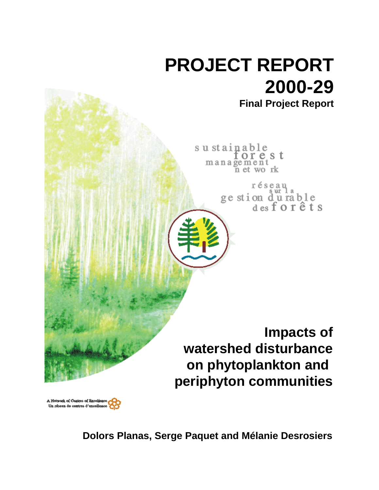

A Notwork of Centres of Excellence Un réseau de centres d'excellence

**Dolors Planas, Serge Paquet and Mélanie Desrosiers**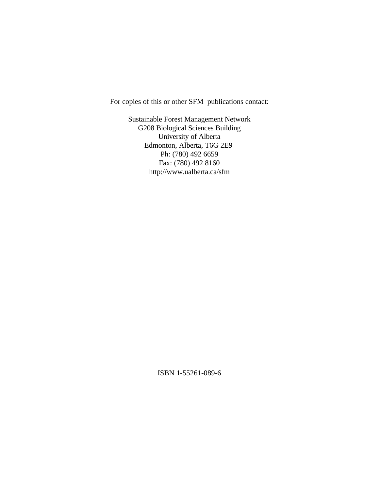For copies of this or other SFM publications contact:

Sustainable Forest Management Network G208 Biological Sciences Building University of Alberta Edmonton, Alberta, T6G 2E9 Ph: (780) 492 6659 Fax: (780) 492 8160 http://www.ualberta.ca/sfm

ISBN 1-55261-089-6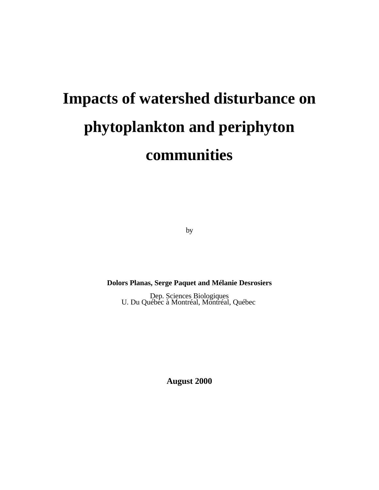# **Impacts of watershed disturbance on phytoplankton and periphyton communities**

by

**Dolors Planas, Serge Paquet and Mélanie Desrosiers**

Dep. Sciences Biologiques U. Du Québec à Montréal, Montréal, Québec

**August 2000**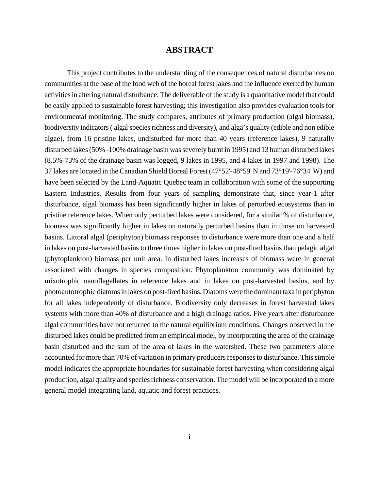# **ABSTRACT**

This project contributes to the understanding of the consequences of natural disturbances on communities at the base of the food web of the boreal forest lakes and the influence exerted by human activities in altering natural disturbance. The deliverable of the study is a quantitative model that could be easily applied to sustainable forest harvesting; this investigation also provides evaluation tools for environmental monitoring. The study compares, attributes of primary production (algal biomass), biodiversity indicators ( algal species richness and diversity), and alga's quality (edible and non edible algae), from 16 pristine lakes, undisturbed for more than 40 years (reference lakes), 9 naturally disturbed lakes (50% -100% drainage basin was severely burnt in 1995) and 13 human disturbed lakes (8.5%-73% of the drainage basin was logged, 9 lakes in 1995, and 4 lakes in 1997 and 1998). The 37 lakes are located in the Canadian Shield Boreal Forest (47°52'-48°59' N and 73°19'-76°34' W) and have been selected by the Land-Aquatic Quebec team in collaboration with some of the supporting Eastern Industries. Results from four years of sampling demonstrate that, since year-1 after disturbance, algal biomass has been significantly higher in lakes of perturbed ecosystems than in pristine reference lakes. When only perturbed lakes were considered, for a similar % of disturbance, biomass was significantly higher in lakes on naturally perturbed basins than in those on harvested basins. Littoral algal (periphyton) biomass responses to disturbance were more than one and a half in lakes on post-harvested basins to three times higher in lakes on post-fired basins than pelagic algal (phytoplankton) biomass per unit area. In disturbed lakes increases of biomass were in general associated with changes in species composition. Phytoplankton community was dominated by mixotrophic nanoflagellates in reference lakes and in lakes on post-harvested basins, and by photoautotrophic diatoms in lakes on post-fired basins. Diatoms were the dominant taxa in periphyton for all lakes independently of disturbance. Biodiversity only decreases in forest harvested lakes systems with more than 40% of disturbance and a high drainage ratios. Five years after disturbance algal communities have not returned to the natural equilibrium conditions. Changes observed in the disturbed lakes could be predicted from an empirical model, by incorporating the area of the drainage basin disturbed and the sum of the area of lakes in the watershed. These two parameters alone accounted for more than 70% of variation in primary producers responses to disturbance. This simple model indicates the appropriate boundaries for sustainable forest harvesting when considering algal production, algal quality and species richness conservation. The model will be incorporated to a more general model integrating land, aquatic and forest practices.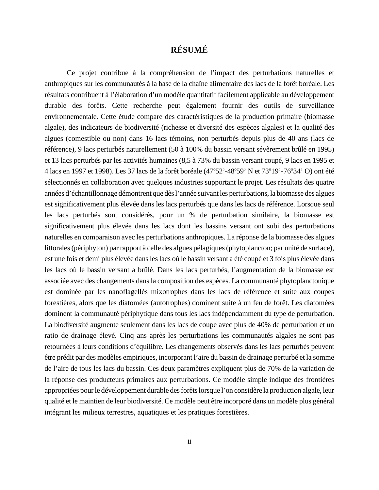# **RÉSUMÉ**

Ce projet contribue à la compréhension de l'impact des perturbations naturelles et anthropiques sur les communautés à la base de la chaîne alimentaire des lacs de la forêt boréale. Les résultats contribuent à l'élaboration d'un modèle quantitatif facilement applicable au développement durable des forêts. Cette recherche peut également fournir des outils de surveillance environnementale. Cette étude compare des caractéristiques de la production primaire (biomasse algale), des indicateurs de biodiversité (richesse et diversité des espèces algales) et la qualité des algues (comestible ou non) dans 16 lacs témoins, non perturbés depuis plus de 40 ans (lacs de référence), 9 lacs perturbés naturellement (50 à 100% du bassin versant sévèrement brûlé en 1995) et 13 lacs perturbés par les activités humaines (8,5 à 73% du bassin versant coupé, 9 lacs en 1995 et 4 lacs en 1997 et 1998). Les 37 lacs de la forêt boréale (47°52'-48°59' N et 73°19'-76°34' O) ont été sélectionnés en collaboration avec quelques industries supportant le projet. Les résultats des quatre années d'échantillonnage démontrent que dès l'année suivant les perturbations, la biomasse des algues est significativement plus élevée dans les lacs perturbés que dans les lacs de référence. Lorsque seul les lacs perturbés sont considérés, pour un % de perturbation similaire, la biomasse est significativement plus élevée dans les lacs dont les bassins versant ont subi des perturbations naturelles en comparaison avec les perturbations anthropiques. La réponse de la biomasse des algues littorales (périphyton) par rapport à celle des algues pélagiques (phytoplancton; par unité de surface), est une fois et demi plus élevée dans les lacs où le bassin versant a été coupé et 3 fois plus élevée dans les lacs où le bassin versant a brûlé. Dans les lacs perturbés, l'augmentation de la biomasse est associée avec des changements dans la composition des espèces. La communauté phytoplanctonique est dominée par les nanoflagellés mixotrophes dans les lacs de référence et suite aux coupes forestières, alors que les diatomées (autotrophes) dominent suite à un feu de forêt. Les diatomées dominent la communauté périphytique dans tous les lacs indépendamment du type de perturbation. La biodiversité augmente seulement dans les lacs de coupe avec plus de 40% de perturbation et un ratio de drainage élevé. Cinq ans après les perturbations les communautés algales ne sont pas retournées à leurs conditions d'équilibre. Les changements observés dans les lacs perturbés peuvent être prédit par des modèles empiriques, incorporant l'aire du bassin de drainage perturbé et la somme de l'aire de tous les lacs du bassin. Ces deux paramètres expliquent plus de 70% de la variation de la réponse des producteurs primaires aux perturbations. Ce modèle simple indique des frontières appropriées pour le développement durable des forêts lorsque l'on considère la production algale, leur qualité et le maintien de leur biodiversité. Ce modèle peut être incorporé dans un modèle plus général intégrant les milieux terrestres, aquatiques et les pratiques forestières.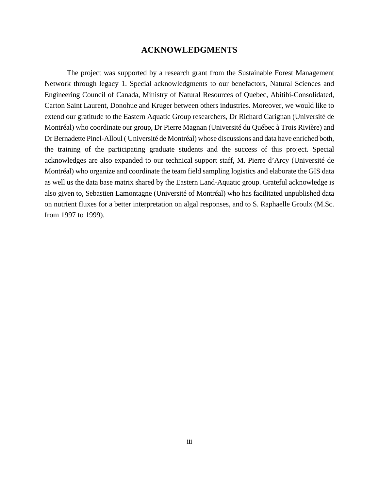# **ACKNOWLEDGMENTS**

The project was supported by a research grant from the Sustainable Forest Management Network through legacy 1. Special acknowledgments to our benefactors, Natural Sciences and Engineering Council of Canada, Ministry of Natural Resources of Quebec, Abitibi-Consolidated, Carton Saint Laurent, Donohue and Kruger between others industries. Moreover, we would like to extend our gratitude to the Eastern Aquatic Group researchers, Dr Richard Carignan (Université de Montréal) who coordinate our group, Dr Pierre Magnan (Université du Québec à Trois Rivière) and Dr Bernadette Pinel-Alloul ( Université de Montréal) whose discussions and data have enriched both, the training of the participating graduate students and the success of this project. Special acknowledges are also expanded to our technical support staff, M. Pierre d'Arcy (Université de Montréal) who organize and coordinate the team field sampling logistics and elaborate the GIS data as well us the data base matrix shared by the Eastern Land-Aquatic group. Grateful acknowledge is also given to, Sebastien Lamontagne (Université of Montréal) who has facilitated unpublished data on nutrient fluxes for a better interpretation on algal responses, and to S. Raphaelle Groulx (M.Sc. from 1997 to 1999).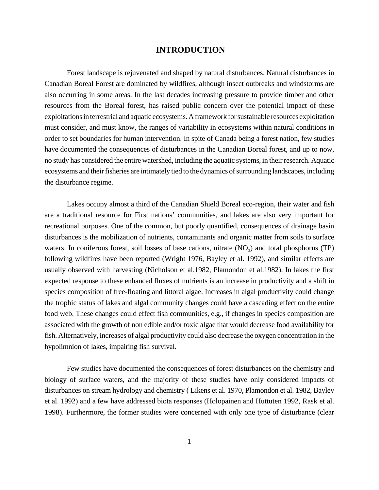## **INTRODUCTION**

Forest landscape is rejuvenated and shaped by natural disturbances. Natural disturbances in Canadian Boreal Forest are dominated by wildfires, although insect outbreaks and windstorms are also occurring in some areas. In the last decades increasing pressure to provide timber and other resources from the Boreal forest, has raised public concern over the potential impact of these exploitations in terrestrial and aquatic ecosystems. A framework for sustainable resources exploitation must consider, and must know, the ranges of variability in ecosystems within natural conditions in order to set boundaries for human intervention. In spite of Canada being a forest nation, few studies have documented the consequences of disturbances in the Canadian Boreal forest, and up to now, no study has considered the entire watershed, including the aquatic systems, in their research. Aquatic ecosystems and their fisheries are intimately tied to the dynamics of surrounding landscapes, including the disturbance regime.

Lakes occupy almost a third of the Canadian Shield Boreal eco-region, their water and fish are a traditional resource for First nations' communities, and lakes are also very important for recreational purposes. One of the common, but poorly quantified, consequences of drainage basin disturbances is the mobilization of nutrients, contaminants and organic matter from soils to surface waters. In coniferous forest, soil losses of base cations, nitrate  $(NO<sub>3</sub>)$  and total phosphorus  $(TP)$ following wildfires have been reported (Wright 1976, Bayley et al. 1992), and similar effects are usually observed with harvesting (Nicholson et al.1982, Plamondon et al.1982). In lakes the first expected response to these enhanced fluxes of nutrients is an increase in productivity and a shift in species composition of free-floating and littoral algae. Increases in algal productivity could change the trophic status of lakes and algal community changes could have a cascading effect on the entire food web. These changes could effect fish communities, e.g., if changes in species composition are associated with the growth of non edible and/or toxic algae that would decrease food availability for fish. Alternatively, increases of algal productivity could also decrease the oxygen concentration in the hypolimnion of lakes, impairing fish survival.

Few studies have documented the consequences of forest disturbances on the chemistry and biology of surface waters, and the majority of these studies have only considered impacts of disturbances on stream hydrology and chemistry ( Likens et al. 1970, Plamondon et al. 1982, Bayley et al. 1992) and a few have addressed biota responses (Holopainen and Huttuten 1992, Rask et al. 1998). Furthermore, the former studies were concerned with only one type of disturbance (clear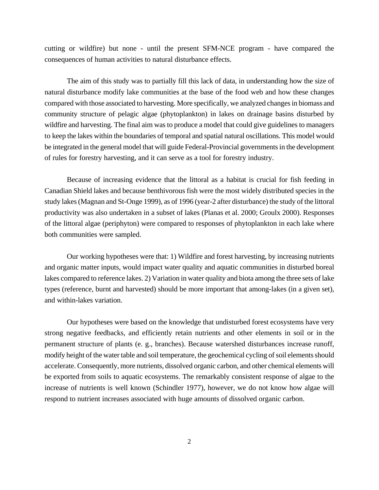cutting or wildfire) but none - until the present SFM-NCE program - have compared the consequences of human activities to natural disturbance effects.

The aim of this study was to partially fill this lack of data, in understanding how the size of natural disturbance modify lake communities at the base of the food web and how these changes compared with those associated to harvesting. More specifically, we analyzed changes in biomass and community structure of pelagic algae (phytoplankton) in lakes on drainage basins disturbed by wildfire and harvesting. The final aim was to produce a model that could give guidelines to managers to keep the lakes within the boundaries of temporal and spatial natural oscillations. This model would be integrated in the general model that will guide Federal-Provincial governments in the development of rules for forestry harvesting, and it can serve as a tool for forestry industry.

Because of increasing evidence that the littoral as a habitat is crucial for fish feeding in Canadian Shield lakes and because benthivorous fish were the most widely distributed species in the study lakes (Magnan and St-Onge 1999), as of 1996 (year-2 after disturbance) the study of the littoral productivity was also undertaken in a subset of lakes (Planas et al. 2000; Groulx 2000). Responses of the littoral algae (periphyton) were compared to responses of phytoplankton in each lake where both communities were sampled.

Our working hypotheses were that: 1) Wildfire and forest harvesting, by increasing nutrients and organic matter inputs, would impact water quality and aquatic communities in disturbed boreal lakes compared to reference lakes. 2) Variation in water quality and biota among the three sets of lake types (reference, burnt and harvested) should be more important that among-lakes (in a given set), and within-lakes variation.

Our hypotheses were based on the knowledge that undisturbed forest ecosystems have very strong negative feedbacks, and efficiently retain nutrients and other elements in soil or in the permanent structure of plants (e. g., branches). Because watershed disturbances increase runoff, modify height of the water table and soil temperature, the geochemical cycling of soil elements should accelerate. Consequently, more nutrients, dissolved organic carbon, and other chemical elements will be exported from soils to aquatic ecosystems. The remarkably consistent response of algae to the increase of nutrients is well known (Schindler 1977), however, we do not know how algae will respond to nutrient increases associated with huge amounts of dissolved organic carbon.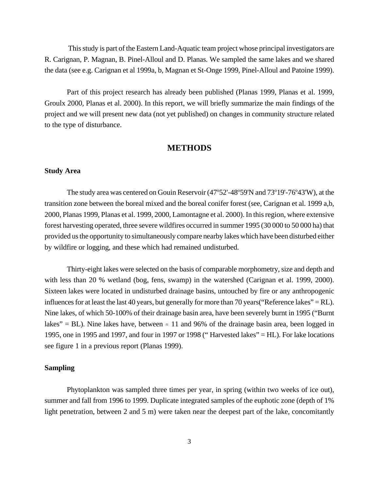This study is part of the Eastern Land-Aquatic team project whose principal investigators are R. Carignan, P. Magnan, B. Pinel-Alloul and D. Planas. We sampled the same lakes and we shared the data (see e.g. Carignan et al 1999a, b, Magnan et St-Onge 1999, Pinel-Alloul and Patoine 1999).

Part of this project research has already been published (Planas 1999, Planas et al. 1999, Groulx 2000, Planas et al. 2000). In this report, we will briefly summarize the main findings of the project and we will present new data (not yet published) on changes in community structure related to the type of disturbance.

# **METHODS**

### **Study Area**

The study area was centered on Gouin Reservoir (47°52'-48°59'N and 73°19'-76°43'W), at the transition zone between the boreal mixed and the boreal conifer forest (see, Carignan et al. 1999 a,b, 2000, Planas 1999, Planas et al. 1999, 2000, Lamontagne et al. 2000). In this region, where extensive forest harvesting operated, three severe wildfires occurred in summer 1995 (30 000 to 50 000 ha) that provided us the opportunity to simultaneously compare nearby lakes which have been disturbed either by wildfire or logging, and these which had remained undisturbed.

Thirty-eight lakes were selected on the basis of comparable morphometry, size and depth and with less than 20 % wetland (bog, fens, swamp) in the watershed (Carignan et al. 1999, 2000). Sixteen lakes were located in undisturbed drainage basins, untouched by fire or any anthropogenic influences for at least the last 40 years, but generally for more than 70 years ("Reference lakes" = RL). Nine lakes, of which 50-100% of their drainage basin area, have been severely burnt in 1995 ("Burnt lakes" = BL). Nine lakes have, between  $\approx$  11 and 96% of the drainage basin area, been logged in 1995, one in 1995 and 1997, and four in 1997 or 1998 (" Harvested lakes" = HL). For lake locations see figure 1 in a previous report (Planas 1999).

## **Sampling**

Phytoplankton was sampled three times per year, in spring (within two weeks of ice out), summer and fall from 1996 to 1999. Duplicate integrated samples of the euphotic zone (depth of 1% light penetration, between 2 and 5 m) were taken near the deepest part of the lake, concomitantly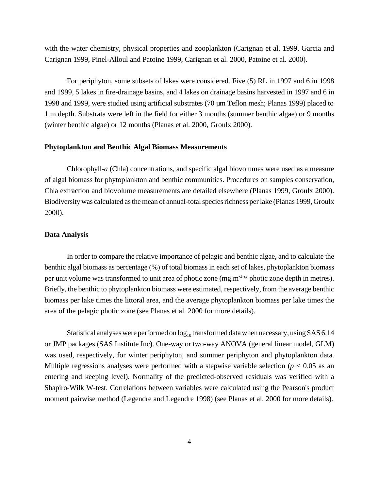with the water chemistry, physical properties and zooplankton (Carignan et al. 1999, Garcia and Carignan 1999, Pinel-Alloul and Patoine 1999, Carignan et al. 2000, Patoine et al. 2000).

For periphyton, some subsets of lakes were considered. Five (5) RL in 1997 and 6 in 1998 and 1999, 5 lakes in fire-drainage basins, and 4 lakes on drainage basins harvested in 1997 and 6 in 1998 and 1999, were studied using artificial substrates (70 µm Teflon mesh; Planas 1999) placed to 1 m depth. Substrata were left in the field for either 3 months (summer benthic algae) or 9 months (winter benthic algae) or 12 months (Planas et al. 2000, Groulx 2000).

#### **Phytoplankton and Benthic Algal Biomass Measurements**

Chlorophyll-*a* (Chla) concentrations, and specific algal biovolumes were used as a measure of algal biomass for phytoplankton and benthic communities. Procedures on samples conservation, Chla extraction and biovolume measurements are detailed elsewhere (Planas 1999, Groulx 2000). Biodiversity was calculated as the mean of annual-total species richness per lake (Planas 1999, Groulx 2000).

## **Data Analysis**

In order to compare the relative importance of pelagic and benthic algae, and to calculate the benthic algal biomass as percentage (%) of total biomass in each set of lakes, phytoplankton biomass per unit volume was transformed to unit area of photic zone (mg.m<sup>-3</sup>  $*$  photic zone depth in metres). Briefly, the benthic to phytoplankton biomass were estimated, respectively, from the average benthic biomass per lake times the littoral area, and the average phytoplankton biomass per lake times the area of the pelagic photic zone (see Planas et al. 2000 for more details).

Statistical analyses were performed on  $log_{10}$  transformed data when necessary, using SAS 6.14 or JMP packages (SAS Institute Inc). One-way or two-way ANOVA (general linear model, GLM) was used, respectively, for winter periphyton, and summer periphyton and phytoplankton data. Multiple regressions analyses were performed with a stepwise variable selection ( $p < 0.05$  as an entering and keeping level). Normality of the predicted-observed residuals was verified with a Shapiro-Wilk W-test. Correlations between variables were calculated using the Pearson's product moment pairwise method (Legendre and Legendre 1998) (see Planas et al. 2000 for more details).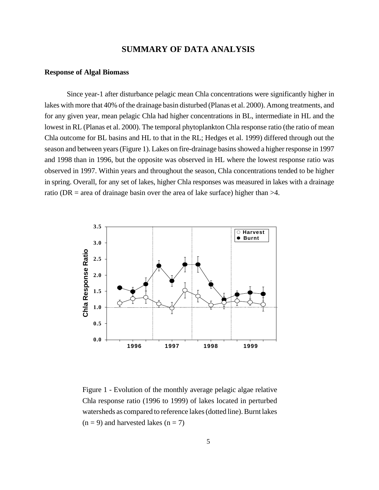# **SUMMARY OF DATA ANALYSIS**

#### **Response of Algal Biomass**

Since year-1 after disturbance pelagic mean Chla concentrations were significantly higher in lakes with more that 40% of the drainage basin disturbed (Planas et al. 2000). Among treatments, and for any given year, mean pelagic Chla had higher concentrations in BL, intermediate in HL and the lowest in RL (Planas et al. 2000). The temporal phytoplankton Chla response ratio (the ratio of mean Chla outcome for BL basins and HL to that in the RL; Hedges et al. 1999) differed through out the season and between years (Figure 1). Lakes on fire-drainage basins showed a higher response in 1997 and 1998 than in 1996, but the opposite was observed in HL where the lowest response ratio was observed in 1997. Within years and throughout the season, Chla concentrations tended to be higher in spring. Overall, for any set of lakes, higher Chla responses was measured in lakes with a drainage ratio (DR = area of drainage basin over the area of lake surface) higher than  $>4$ .



Figure 1 - Evolution of the monthly average pelagic algae relative Chla response ratio (1996 to 1999) of lakes located in perturbed watersheds as compared to reference lakes (dotted line). Burnt lakes  $(n = 9)$  and harvested lakes  $(n = 7)$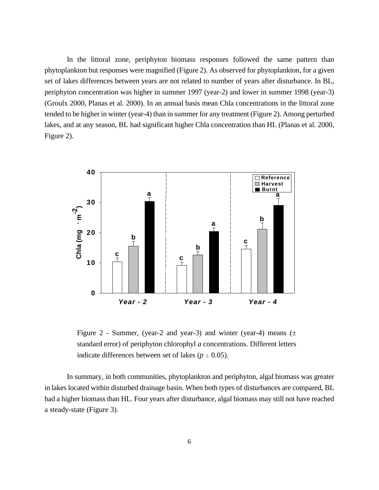In the littoral zone, periphyton biomass responses followed the same pattern than phytoplankton but responses were magnified (Figure 2). As observed for phytoplankton, for a given set of lakes differences between years are not related to number of years after disturbance. In BL, periphyton concentration was higher in summer 1997 (year-2) and lower in summer 1998 (year-3) (Groulx 2000, Planas et al. 2000). In an annual basis mean Chla concentrations in the littoral zone tended to be higher in winter (year-4) than in summer for any treatment (Figure 2). Among perturbed lakes, and at any season, BL had significant higher Chla concentration than HL (Planas et al. 2000, Figure 2).



Figure 2 - Summer, (year-2 and year-3) and winter (year-4) means  $(\pm$ standard error) of periphyton chlorophyl *a* concentrations. Different letters indicate differences between set of lakes ( $p \le 0.05$ ).

In summary, in both communities, phytoplankton and periphyton, algal biomass was greater in lakes located within disturbed drainage basin. When both types of disturbances are compared, BL had a higher biomass than HL. Four years after disturbance, algal biomass may still not have reached a steady-state (Figure 3).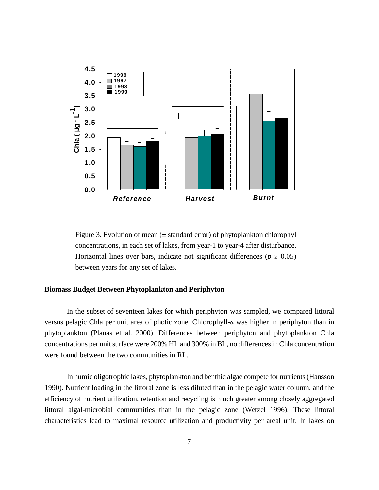

Figure 3. Evolution of mean  $(\pm$  standard error) of phytoplankton chlorophyl concentrations, in each set of lakes, from year-1 to year-4 after disturbance. Horizontal lines over bars, indicate not significant differences ( $p \geq 0.05$ ) between years for any set of lakes.

### **Biomass Budget Between Phytoplankton and Periphyton**

In the subset of seventeen lakes for which periphyton was sampled, we compared littoral versus pelagic Chla per unit area of photic zone. Chlorophyll- $\alpha$  was higher in periphyton than in phytoplankton (Planas et al. 2000). Differences between periphyton and phytoplankton Chla concentrations per unit surface were 200% HL and 300% in BL, no differences in Chla concentration were found between the two communities in RL.

In humic oligotrophic lakes, phytoplankton and benthic algae compete for nutrients (Hansson 1990). Nutrient loading in the littoral zone is less diluted than in the pelagic water column, and the efficiency of nutrient utilization, retention and recycling is much greater among closely aggregated littoral algal-microbial communities than in the pelagic zone (Wetzel 1996). These littoral characteristics lead to maximal resource utilization and productivity per areal unit. In lakes on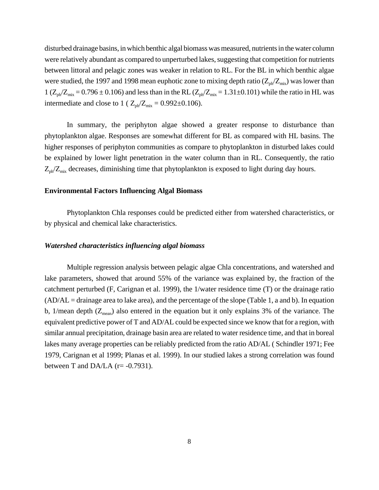disturbed drainage basins, in which benthic algal biomass was measured, nutrients in the water column were relatively abundant as compared to unperturbed lakes, suggesting that competition for nutrients between littoral and pelagic zones was weaker in relation to RL. For the BL in which benthic algae were studied, the 1997 and 1998 mean euphotic zone to mixing depth ratio  $(Z_{ph}/Z_{mix})$  was lower than  $1 (Z_{ph}/Z_{mix} = 0.796 \pm 0.106)$  and less than in the RL  $(Z_{ph}/Z_{mix} = 1.31 \pm 0.101)$  while the ratio in HL was intermediate and close to 1 ( $Z_{ph}/Z_{mix} = 0.992 \pm 0.106$ ).

In summary, the periphyton algae showed a greater response to disturbance than phytoplankton algae. Responses are somewhat different for BL as compared with HL basins. The higher responses of periphyton communities as compare to phytoplankton in disturbed lakes could be explained by lower light penetration in the water column than in RL. Consequently, the ratio  $Z_{ph}/Z_{mix}$  decreases, diminishing time that phytoplankton is exposed to light during day hours.

#### **Environmental Factors Influencing Algal Biomass**

Phytoplankton Chla responses could be predicted either from watershed characteristics, or by physical and chemical lake characteristics.

#### *Watershed characteristics influencing algal biomass*

Multiple regression analysis between pelagic algae Chla concentrations, and watershed and lake parameters, showed that around 55% of the variance was explained by, the fraction of the catchment perturbed (F, Carignan et al. 1999), the 1/water residence time (T) or the drainage ratio  $(AD/AL = \text{drainage area to lake area})$ , and the percentage of the slope (Table 1, a and b). In equation b, 1/mean depth  $(Z_{mean})$  also entered in the equation but it only explains 3% of the variance. The equivalent predictive power of T and AD/AL could be expected since we know that for a region, with similar annual precipitation, drainage basin area are related to water residence time, and that in boreal lakes many average properties can be reliably predicted from the ratio AD/AL ( Schindler 1971; Fee 1979, Carignan et al 1999; Planas et al. 1999). In our studied lakes a strong correlation was found between T and DA/LA ( $r = -0.7931$ ).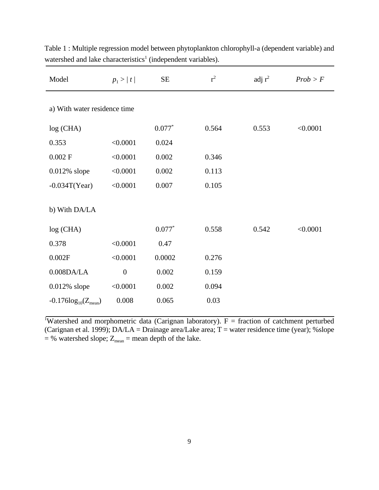| Model                        | $p_1 >  t $      | $\rm SE$ | $r^2$ | adj $r^2$ | Prob > F |  |  |  |
|------------------------------|------------------|----------|-------|-----------|----------|--|--|--|
| a) With water residence time |                  |          |       |           |          |  |  |  |
| log (CHA)                    |                  | $0.077*$ | 0.564 | 0.553     | < 0.0001 |  |  |  |
| 0.353                        | < 0.0001         | 0.024    |       |           |          |  |  |  |
| $0.002$ F                    | < 0.0001         | 0.002    | 0.346 |           |          |  |  |  |
| $0.012\%$ slope              | < 0.0001         | 0.002    | 0.113 |           |          |  |  |  |
| $-0.034T(Year)$              | < 0.0001         | 0.007    | 0.105 |           |          |  |  |  |
| b) With DA/LA                |                  |          |       |           |          |  |  |  |
| log (CHA)                    |                  | $0.077*$ | 0.558 | 0.542     | < 0.0001 |  |  |  |
| 0.378                        | < 0.0001         | 0.47     |       |           |          |  |  |  |
| 0.002F                       | < 0.0001         | 0.0002   | 0.276 |           |          |  |  |  |
| $0.008$ DA/LA                | $\boldsymbol{0}$ | 0.002    | 0.159 |           |          |  |  |  |
| $0.012\%$ slope              | < 0.0001         | 0.002    | 0.094 |           |          |  |  |  |
| $-0.176log_{10}(Z_{mean})$   | 0.008            | 0.065    | 0.03  |           |          |  |  |  |

Table 1 : Multiple regression model between phytoplankton chlorophyll-a (dependent variable) and watershed and lake characteristics<sup>1</sup> (independent variables).

<sup>1</sup>Watershed and morphometric data (Carignan laboratory).  $F =$  fraction of catchment perturbed (Carignan et al. 1999); DA/LA = Drainage area/Lake area; T = water residence time (year); %slope  $=$  % watershed slope;  $Z_{mean}$  = mean depth of the lake.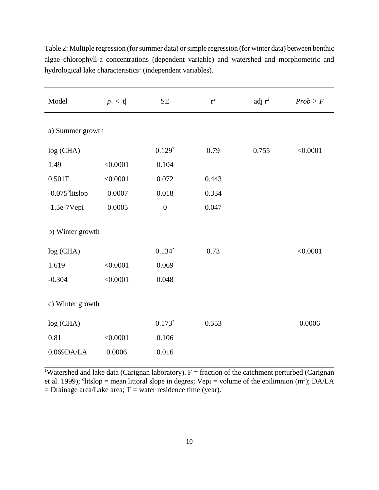| Model            | $p_1 <  t $ | $\rm SE$         | $r^2$ | adj $r^2$ | Prob > F |  |  |
|------------------|-------------|------------------|-------|-----------|----------|--|--|
| a) Summer growth |             |                  |       |           |          |  |  |
| log (CHA)        |             | $0.129*$         | 0.79  | 0.755     | < 0.0001 |  |  |
| 1.49             | < 0.0001    | 0.104            |       |           |          |  |  |
| 0.501F           | < 0.0001    | 0.072            | 0.443 |           |          |  |  |
| -0.075°litslop   | 0.0007      | 0.018            | 0.334 |           |          |  |  |
| $-1.5e-7Vepi$    | 0.0005      | $\boldsymbol{0}$ | 0.047 |           |          |  |  |
| b) Winter growth |             |                  |       |           |          |  |  |
| log (CHA)        |             | $0.134*$         | 0.73  |           | < 0.0001 |  |  |
| 1.619            | < 0.0001    | 0.069            |       |           |          |  |  |
| $-0.304$         | < 0.0001    | 0.048            |       |           |          |  |  |
| c) Winter growth |             |                  |       |           |          |  |  |
| log (CHA)        |             | $0.173*$         | 0.553 |           | 0.0006   |  |  |
| 0.81             | < 0.0001    | 0.106            |       |           |          |  |  |
| 0.069DA/LA       | 0.0006      | 0.016            |       |           |          |  |  |

Table 2: Multiple regression (for summer data) or simple regression (for winter data) between benthic algae chlorophyll-a concentrations (dependent variable) and watershed and morphometric and hydrological lake characteristics<sup>1</sup> (independent variables).

<sup>1</sup>Watershed and lake data (Carignan laboratory).  $F =$  fraction of the catchment perturbed (Carignan et al. 1999); <sup>o</sup>litslop = mean littoral slope in degres; Vepi = volume of the epilimnion (m<sup>3</sup>); DA/LA  $=$  Drainage area/Lake area; T = water residence time (year).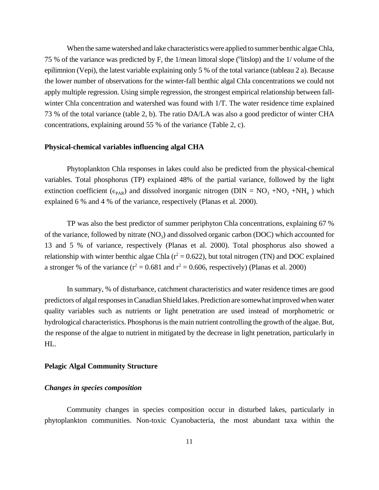When the same watershed and lake characteristics were applied to summer benthic algae Chla, 75 % of the variance was predicted by F, the 1/mean littoral slope (°litslop) and the 1/volume of the epilimnion (Vepi), the latest variable explaining only 5 % of the total variance (tableau 2 a). Because the lower number of observations for the winter-fall benthic algal Chla concentrations we could not apply multiple regression. Using simple regression, the strongest empirical relationship between fallwinter Chla concentration and watershed was found with 1/T. The water residence time explained 73 % of the total variance (table 2, b). The ratio DA/LA was also a good predictor of winter CHA concentrations, explaining around 55 % of the variance (Table 2, c).

#### **Physical-chemical variables influencing algal CHA**

Phytoplankton Chla responses in lakes could also be predicted from the physical-chemical variables. Total phosphorus (TP) explained 48% of the partial variance, followed by the light extinction coefficient ( $\epsilon_{PAR}$ ) and dissolved inorganic nitrogen (DIN =  $NO_3 + NO_2 + NH_4$ ) which explained 6 % and 4 % of the variance, respectively (Planas et al. 2000).

TP was also the best predictor of summer periphyton Chla concentrations, explaining 67 % of the variance, followed by nitrate  $(NO<sub>3</sub>)$  and dissolved organic carbon  $(DOC)$  which accounted for 13 and 5 % of variance, respectively (Planas et al. 2000). Total phosphorus also showed a relationship with winter benthic algae Chla ( $r^2 = 0.622$ ), but total nitrogen (TN) and DOC explained a stronger % of the variance ( $r^2 = 0.681$  and  $r^2 = 0.606$ , respectively) (Planas et al. 2000)

In summary, % of disturbance, catchment characteristics and water residence times are good predictors of algal responses in Canadian Shield lakes. Prediction are somewhat improved when water quality variables such as nutrients or light penetration are used instead of morphometric or hydrological characteristics. Phosphorus is the main nutrient controlling the growth of the algae. But, the response of the algae to nutrient in mitigated by the decrease in light penetration, particularly in HL.

#### **Pelagic Algal Community Structure**

#### *Changes in species composition*

Community changes in species composition occur in disturbed lakes, particularly in phytoplankton communities. Non-toxic Cyanobacteria, the most abundant taxa within the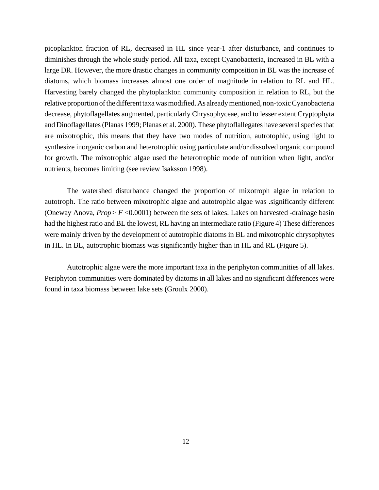picoplankton fraction of RL, decreased in HL since year-1 after disturbance, and continues to diminishes through the whole study period. All taxa, except Cyanobacteria, increased in BL with a large DR. However, the more drastic changes in community composition in BL was the increase of diatoms, which biomass increases almost one order of magnitude in relation to RL and HL. Harvesting barely changed the phytoplankton community composition in relation to RL, but the relative proportion of the different taxa was modified. As already mentioned, non-toxic Cyanobacteria decrease, phytoflagellates augmented, particularly Chrysophyceae, and to lesser extent Cryptophyta and Dinoflagellates (Planas 1999; Planas et al. 2000). These phytoflallegates have several species that are mixotrophic, this means that they have two modes of nutrition, autrotophic, using light to synthesize inorganic carbon and heterotrophic using particulate and/or dissolved organic compound for growth. The mixotrophic algae used the heterotrophic mode of nutrition when light, and/or nutrients, becomes limiting (see review Isaksson 1998).

The watershed disturbance changed the proportion of mixotroph algae in relation to autotroph. The ratio between mixotrophic algae and autotrophic algae was .significantly different (Oneway Anova, *Prop> F* <0.0001) between the sets of lakes. Lakes on harvested -drainage basin had the highest ratio and BL the lowest, RL having an intermediate ratio (Figure 4) These differences were mainly driven by the development of autotrophic diatoms in BL and mixotrophic chrysophytes in HL. In BL, autotrophic biomass was significantly higher than in HL and RL (Figure 5).

Autotrophic algae were the more important taxa in the periphyton communities of all lakes. Periphyton communities were dominated by diatoms in all lakes and no significant differences were found in taxa biomass between lake sets (Groulx 2000).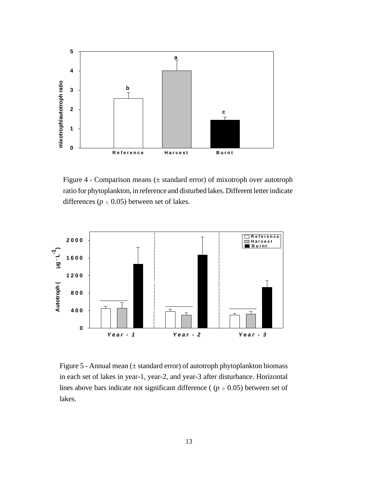

Figure 4 - Comparison means (± standard error) of mixotroph over autotroph ratio for phytoplankton, in reference and disturbed lakes. Different letter indicate differences ( $p \le 0.05$ ) between set of lakes.



Figure 5 - Annual mean (± standard error) of autotroph phytoplankton biomass in each set of lakes in year-1, year-2, and year-3 after disturbance. Horizontal lines above bars indicate not significant difference ( $(p \ge 0.05)$ ) between set of lakes.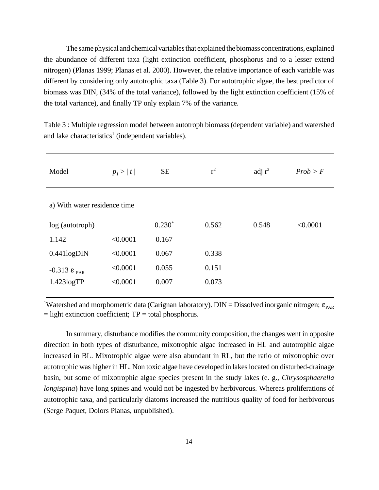The same physical and chemical variables that explained the biomass concentrations, explained the abundance of different taxa (light extinction coefficient, phosphorus and to a lesser extend nitrogen) (Planas 1999; Planas et al. 2000). However, the relative importance of each variable was different by considering only autotrophic taxa (Table 3). For autotrophic algae, the best predictor of biomass was DIN, (34% of the total variance), followed by the light extinction coefficient (15% of the total variance), and finally TP only explain 7% of the variance.

Table 3 : Multiple regression model between autotroph biomass (dependent variable) and watershed and lake characteristics<sup>1</sup> (independent variables).

| Model                        | $p_1 >  t $ | <b>SE</b> | $r^2$ | adj $r^2$ | Prob > F |  |  |
|------------------------------|-------------|-----------|-------|-----------|----------|--|--|
| a) With water residence time |             |           |       |           |          |  |  |
| log (autotroph)              |             | $0.230*$  | 0.562 | 0.548     | < 0.0001 |  |  |
| 1.142                        | < 0.0001    | 0.167     |       |           |          |  |  |
| 0.441log <sub>DN</sub>       | < 0.0001    | 0.067     | 0.338 |           |          |  |  |
| $-0.313 \epsilon_{PAR}$      | < 0.0001    | 0.055     | 0.151 |           |          |  |  |
| 1.423logTP                   | < 0.0001    | 0.007     | 0.073 |           |          |  |  |
|                              |             |           |       |           |          |  |  |

<sup>1</sup>Watershed and morphometric data (Carignan laboratory). DIN = Dissolved inorganic nitrogen;  $\epsilon_{\text{PAR}}$  $=$  light extinction coefficient;  $TP =$  total phosphorus.

In summary, disturbance modifies the community composition, the changes went in opposite direction in both types of disturbance, mixotrophic algae increased in HL and autotrophic algae increased in BL. Mixotrophic algae were also abundant in RL, but the ratio of mixotrophic over autotrophic was higher in HL. Non toxic algae have developed in lakes located on disturbed-drainage basin, but some of mixotrophic algae species present in the study lakes (e. g., *Chrysosphaerella longispina*) have long spines and would not be ingested by herbivorous. Whereas proliferations of autotrophic taxa, and particularly diatoms increased the nutritious quality of food for herbivorous (Serge Paquet, Dolors Planas, unpublished).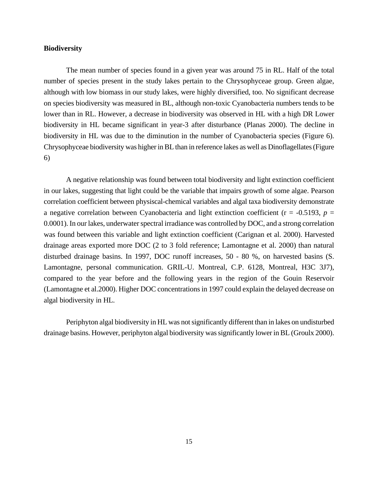#### **Biodiversity**

The mean number of species found in a given year was around 75 in RL. Half of the total number of species present in the study lakes pertain to the Chrysophyceae group. Green algae, although with low biomass in our study lakes, were highly diversified, too. No significant decrease on species biodiversity was measured in BL, although non-toxic Cyanobacteria numbers tends to be lower than in RL. However, a decrease in biodiversity was observed in HL with a high DR Lower biodiversity in HL became significant in year-3 after disturbance (Planas 2000). The decline in biodiversity in HL was due to the diminution in the number of Cyanobacteria species (Figure 6). Chrysophyceae biodiversity was higher in BL than in reference lakes as well as Dinoflagellates (Figure 6)

A negative relationship was found between total biodiversity and light extinction coefficient in our lakes, suggesting that light could be the variable that impairs growth of some algae. Pearson correlation coefficient between physiscal-chemical variables and algal taxa biodiversity demonstrate a negative correlation between Cyanobacteria and light extinction coefficient ( $r = -0.5193$ ,  $p =$ 0.0001). In our lakes, underwater spectral irradiance was controlled by DOC, and a strong correlation was found between this variable and light extinction coefficient (Carignan et al. 2000). Harvested drainage areas exported more DOC (2 to 3 fold reference; Lamontagne et al. 2000) than natural disturbed drainage basins. In 1997, DOC runoff increases, 50 - 80 %, on harvested basins (S. Lamontagne, personal communication. GRIL-U. Montreal, C.P. 6128, Montreal, H3C 3J7), compared to the year before and the following years in the region of the Gouin Reservoir (Lamontagne et al.2000). Higher DOC concentrations in 1997 could explain the delayed decrease on algal biodiversity in HL.

Periphyton algal biodiversity in HL was not significantly different than in lakes on undisturbed drainage basins. However, periphyton algal biodiversity was significantly lower in BL (Groulx 2000).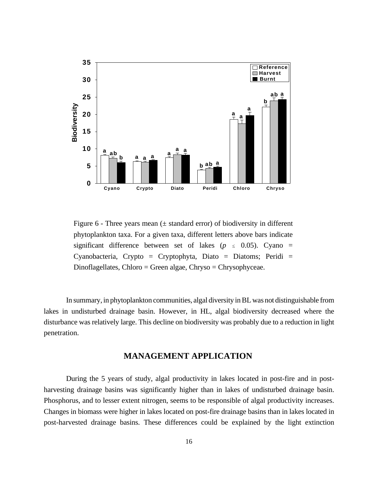

Figure  $6$  - Three years mean ( $\pm$  standard error) of biodiversity in different phytoplankton taxa. For a given taxa, different letters above bars indicate significant difference between set of lakes ( $p \le 0.05$ ). Cyano = Cyanobacteria, Crypto = Cryptophyta, Diato = Diatoms; Peridi =  $Dinoflagellates, Chloro = Green algebra, Chryso = Chrysophyceae.$ 

In summary, in phytoplankton communities, algal diversity in BL was not distinguishable from lakes in undisturbed drainage basin. However, in HL, algal biodiversity decreased where the disturbance was relatively large. This decline on biodiversity was probably due to a reduction in light penetration.

# **MANAGEMENT APPLICATION**

During the 5 years of study, algal productivity in lakes located in post-fire and in postharvesting drainage basins was significantly higher than in lakes of undisturbed drainage basin. Phosphorus, and to lesser extent nitrogen, seems to be responsible of algal productivity increases. Changes in biomass were higher in lakes located on post-fire drainage basins than in lakes located in post-harvested drainage basins. These differences could be explained by the light extinction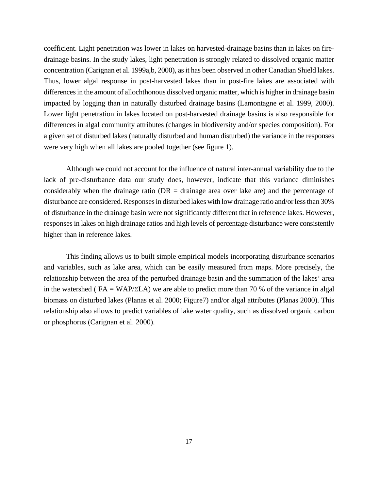coefficient. Light penetration was lower in lakes on harvested-drainage basins than in lakes on firedrainage basins. In the study lakes, light penetration is strongly related to dissolved organic matter concentration (Carignan et al. 1999a,b, 2000), as it has been observed in other Canadian Shield lakes. Thus, lower algal response in post-harvested lakes than in post-fire lakes are associated with differences in the amount of allochthonous dissolved organic matter, which is higher in drainage basin impacted by logging than in naturally disturbed drainage basins (Lamontagne et al. 1999, 2000). Lower light penetration in lakes located on post-harvested drainage basins is also responsible for differences in algal community attributes (changes in biodiversity and/or species composition). For a given set of disturbed lakes (naturally disturbed and human disturbed) the variance in the responses were very high when all lakes are pooled together (see figure 1).

Although we could not account for the influence of natural inter-annual variability due to the lack of pre-disturbance data our study does, however, indicate that this variance diminishes considerably when the drainage ratio ( $DR = \text{drainage}$  area over lake are) and the percentage of disturbance are considered. Responses in disturbed lakes with low drainage ratio and/or less than 30% of disturbance in the drainage basin were not significantly different that in reference lakes. However, responses in lakes on high drainage ratios and high levels of percentage disturbance were consistently higher than in reference lakes.

This finding allows us to built simple empirical models incorporating disturbance scenarios and variables, such as lake area, which can be easily measured from maps. More precisely, the relationship between the area of the perturbed drainage basin and the summation of the lakes' area in the watershed ( $FA = WAP/2LA$ ) we are able to predict more than 70 % of the variance in algal biomass on disturbed lakes (Planas et al. 2000; Figure7) and/or algal attributes (Planas 2000). This relationship also allows to predict variables of lake water quality, such as dissolved organic carbon or phosphorus (Carignan et al. 2000).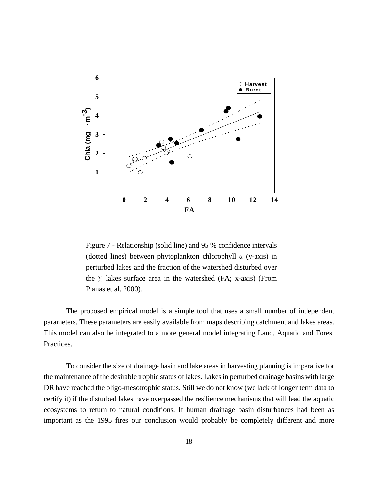

Figure 7 - Relationship (solid line) and 95 % confidence intervals (dotted lines) between phytoplankton chlorophyll  $\alpha$  (y-axis) in perturbed lakes and the fraction of the watershed disturbed over the  $\Sigma$  lakes surface area in the watershed (FA; x-axis) (From Planas et al. 2000).

The proposed empirical model is a simple tool that uses a small number of independent parameters. These parameters are easily available from maps describing catchment and lakes areas. This model can also be integrated to a more general model integrating Land, Aquatic and Forest Practices.

To consider the size of drainage basin and lake areas in harvesting planning is imperative for the maintenance of the desirable trophic status of lakes. Lakes in perturbed drainage basins with large DR have reached the oligo-mesotrophic status. Still we do not know (we lack of longer term data to certify it) if the disturbed lakes have overpassed the resilience mechanisms that will lead the aquatic ecosystems to return to natural conditions. If human drainage basin disturbances had been as important as the 1995 fires our conclusion would probably be completely different and more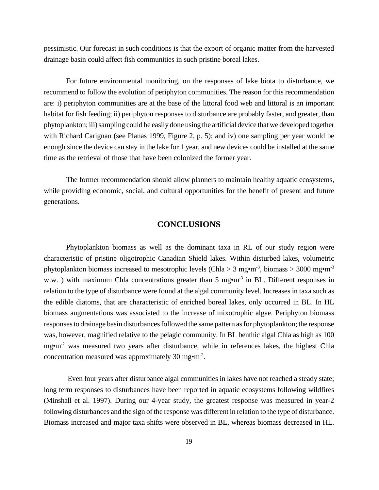pessimistic. Our forecast in such conditions is that the export of organic matter from the harvested drainage basin could affect fish communities in such pristine boreal lakes.

For future environmental monitoring, on the responses of lake biota to disturbance, we recommend to follow the evolution of periphyton communities. The reason for this recommendation are: i) periphyton communities are at the base of the littoral food web and littoral is an important habitat for fish feeding; ii) periphyton responses to disturbance are probably faster, and greater, than phytoplankton; iii) sampling could be easily done using the artificial device that we developed together with Richard Carignan (see Planas 1999, Figure 2, p. 5); and iv) one sampling per year would be enough since the device can stay in the lake for 1 year, and new devices could be installed at the same time as the retrieval of those that have been colonized the former year.

The former recommendation should allow planners to maintain healthy aquatic ecosystems, while providing economic, social, and cultural opportunities for the benefit of present and future generations.

# **CONCLUSIONS**

Phytoplankton biomass as well as the dominant taxa in RL of our study region were characteristic of pristine oligotrophic Canadian Shield lakes. Within disturbed lakes, volumetric phytoplankton biomass increased to mesotrophic levels (Chla > 3 mg $\cdot$ m<sup>-3</sup>, biomass > 3000 mg $\cdot$ m<sup>-3</sup> w.w. ) with maximum Chla concentrations greater than 5 mg•m<sup>-3</sup> in BL. Different responses in relation to the type of disturbance were found at the algal community level. Increases in taxa such as the edible diatoms, that are characteristic of enriched boreal lakes, only occurred in BL. In HL biomass augmentations was associated to the increase of mixotrophic algae. Periphyton biomass responses to drainage basin disturbances followed the same pattern as for phytoplankton; the response was, however, magnified relative to the pelagic community. In BL benthic algal Chla as high as 100 mg•m<sup>-2</sup> was measured two years after disturbance, while in references lakes, the highest Chla concentration measured was approximately 30 mg $\cdot$ m<sup>-2</sup>.

 Even four years after disturbance algal communities in lakes have not reached a steady state; long term responses to disturbances have been reported in aquatic ecosystems following wildfires (Minshall et al. 1997). During our 4-year study, the greatest response was measured in year-2 following disturbances and the sign of the response was different in relation to the type of disturbance. Biomass increased and major taxa shifts were observed in BL, whereas biomass decreased in HL.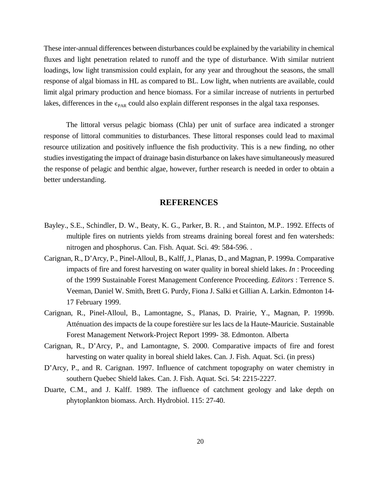These inter-annual differences between disturbances could be explained by the variability in chemical fluxes and light penetration related to runoff and the type of disturbance. With similar nutrient loadings, low light transmission could explain, for any year and throughout the seasons, the small response of algal biomass in HL as compared to BL. Low light, when nutrients are available, could limit algal primary production and hence biomass. For a similar increase of nutrients in perturbed lakes, differences in the  $\epsilon_{PAR}$  could also explain different responses in the algal taxa responses.

The littoral versus pelagic biomass (Chla) per unit of surface area indicated a stronger response of littoral communities to disturbances. These littoral responses could lead to maximal resource utilization and positively influence the fish productivity. This is a new finding, no other studies investigating the impact of drainage basin disturbance on lakes have simultaneously measured the response of pelagic and benthic algae, however, further research is needed in order to obtain a better understanding.

## **REFERENCES**

- Bayley., S.E., Schindler, D. W., Beaty, K. G., Parker, B. R. , and Stainton, M.P.. 1992. Effects of multiple fires on nutrients yields from streams draining boreal forest and fen watersheds: nitrogen and phosphorus. Can. Fish. Aquat. Sci. 49: 584-596. .
- Carignan, R., D'Arcy, P., Pinel-Alloul, B., Kalff, J., Planas, D., and Magnan, P. 1999a. Comparative impacts of fire and forest harvesting on water quality in boreal shield lakes. *In* : Proceeding of the 1999 Sustainable Forest Management Conference Proceeding. *Editors* : Terrence S. Veeman, Daniel W. Smith, Brett G. Purdy, Fiona J. Salki et Gillian A. Larkin. Edmonton 14- 17 February 1999.
- Carignan, R., Pinel-Alloul, B., Lamontagne, S., Planas, D. Prairie, Y., Magnan, P. 1999b. Atténuation des impacts de la coupe forestière sur les lacs de la Haute-Mauricie. Sustainable Forest Management Network-Project Report 1999- 38. Edmonton. Alberta
- Carignan, R., D'Arcy, P., and Lamontagne, S. 2000. Comparative impacts of fire and forest harvesting on water quality in boreal shield lakes. Can. J. Fish. Aquat. Sci. (in press)
- D'Arcy, P., and R. Carignan. 1997. Influence of catchment topography on water chemistry in southern Quebec Shield lakes. Can. J. Fish. Aquat. Sci. 54: 2215-2227.
- Duarte, C.M., and J. Kalff. 1989. The influence of catchment geology and lake depth on phytoplankton biomass. Arch. Hydrobiol. 115: 27-40.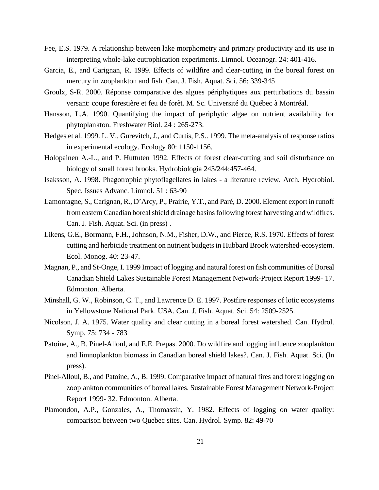- Fee, E.S. 1979. A relationship between lake morphometry and primary productivity and its use in interpreting whole-lake eutrophication experiments. Limnol. Oceanogr. 24: 401-416.
- Garcia, E., and Carignan, R. 1999. Effects of wildfire and clear-cutting in the boreal forest on mercury in zooplankton and fish. Can. J. Fish. Aquat. Sci. 56: 339-345
- Groulx, S-R. 2000. Réponse comparative des algues périphytiques aux perturbations du bassin versant: coupe forestière et feu de forêt. M. Sc. Université du Québec à Montréal.
- Hansson, L.A. 1990. Quantifying the impact of periphytic algae on nutrient availability for phytoplankton. Freshwater Biol. 24 : 265-273.
- Hedges et al. 1999. L. V., Gurevitch, J., and Curtis, P.S.. 1999. The meta-analysis of response ratios in experimental ecology. Ecology 80: 1150-1156.
- Holopainen A.-L., and P. Huttuten 1992. Effects of forest clear-cutting and soil disturbance on biology of small forest brooks. Hydrobiologia 243/244:457-464.
- Isaksson, A. 1998. Phagotrophic phytoflagellates in lakes a literature review. Arch. Hydrobiol. Spec. Issues Advanc. Limnol. 51 : 63-90
- Lamontagne, S., Carignan, R., D'Arcy, P., Prairie, Y.T., and Paré, D. 2000. Element export in runoff from eastern Canadian boreal shield drainage basins following forest harvesting and wildfires. Can. J. Fish. Aquat. Sci. (in press) .
- Likens, G.E., Bormann, F.H., Johnson, N.M., Fisher, D.W., and Pierce, R.S. 1970. Effects of forest cutting and herbicide treatment on nutrient budgets in Hubbard Brook watershed-ecosystem. Ecol. Monog. 40: 23-47.
- Magnan, P., and St-Onge, I. 1999 Impact of logging and natural forest on fish communities of Boreal Canadian Shield Lakes Sustainable Forest Management Network-Project Report 1999- 17. Edmonton. Alberta.
- Minshall, G. W., Robinson, C. T., and Lawrence D. E. 1997. Postfire responses of lotic ecosystems in Yellowstone National Park. USA. Can. J. Fish. Aquat. Sci. 54: 2509-2525.
- Nicolson, J. A. 1975. Water quality and clear cutting in a boreal forest watershed. Can. Hydrol. Symp. 75: 734 - 783
- Patoine, A., B. Pinel-Alloul, and E.E. Prepas. 2000. Do wildfire and logging influence zooplankton and limnoplankton biomass in Canadian boreal shield lakes?. Can. J. Fish. Aquat. Sci. (In press).
- Pinel-Alloul, B., and Patoine, A., B. 1999. Comparative impact of natural fires and forest logging on zooplankton communities of boreal lakes. Sustainable Forest Management Network-Project Report 1999- 32. Edmonton. Alberta.
- Plamondon, A.P., Gonzales, A., Thomassin, Y. 1982. Effects of logging on water quality: comparison between two Quebec sites. Can. Hydrol. Symp. 82: 49-70